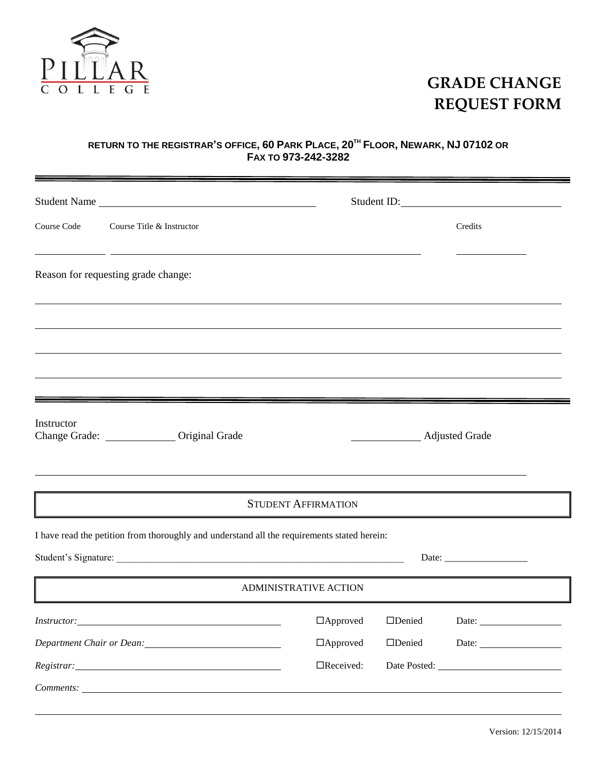

## **GRADE CHANGE REQUEST FORM**

## RETURN TO THE REGISTRAR'S OFFICE, 60 PARK PLACE, 20<sup>th</sup> FLOOR, NEWARK, NJ 07102 OR **FAX TO 973-242-3282**

|                                                                                                                                                            | Student Name                                                                                                                                                                                                                  | Student ID:                                |
|------------------------------------------------------------------------------------------------------------------------------------------------------------|-------------------------------------------------------------------------------------------------------------------------------------------------------------------------------------------------------------------------------|--------------------------------------------|
| Course Code                                                                                                                                                | Course Title & Instructor                                                                                                                                                                                                     | Credits                                    |
| <u> 1989 - Johann Stein, synsk politik foar de oarnal fan it ferstjer fan de oarnal fan de oarnal fan de oarnal</u><br>Reason for requesting grade change: |                                                                                                                                                                                                                               |                                            |
|                                                                                                                                                            |                                                                                                                                                                                                                               |                                            |
|                                                                                                                                                            |                                                                                                                                                                                                                               |                                            |
| Instructor                                                                                                                                                 | Change Grade: ________________ Original Grade                                                                                                                                                                                 | Adjusted Grade                             |
|                                                                                                                                                            |                                                                                                                                                                                                                               | <b>STUDENT AFFIRMATION</b>                 |
| I have read the petition from thoroughly and understand all the requirements stated herein:                                                                |                                                                                                                                                                                                                               |                                            |
| <b>ADMINISTRATIVE ACTION</b>                                                                                                                               |                                                                                                                                                                                                                               |                                            |
|                                                                                                                                                            |                                                                                                                                                                                                                               | □Approved □Denied Date: <u>___________</u> |
|                                                                                                                                                            | Department Chair or Dean: 1997 1997                                                                                                                                                                                           | $\Box$ Denied<br>$\Box$ Approved           |
|                                                                                                                                                            | Registrar: No. 1998. In the set of the set of the set of the set of the set of the set of the set of the set of the set of the set of the set of the set of the set of the set of the set of the set of the set of the set of | $\Box$ Received:<br>Date Posted:           |